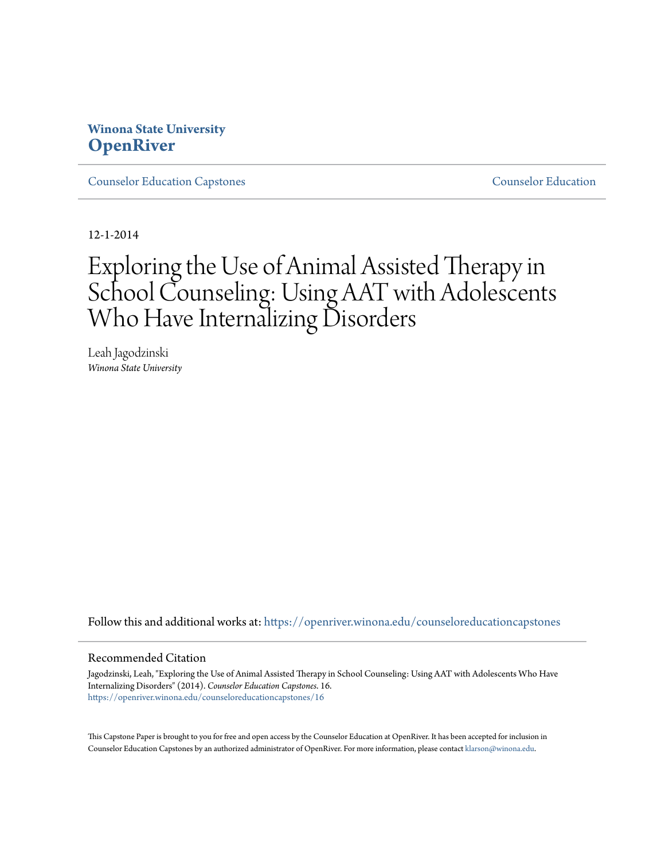# **Winona State University [OpenRiver](https://openriver.winona.edu?utm_source=openriver.winona.edu%2Fcounseloreducationcapstones%2F16&utm_medium=PDF&utm_campaign=PDFCoverPages)**

[Counselor Education Capstones](https://openriver.winona.edu/counseloreducationcapstones?utm_source=openriver.winona.edu%2Fcounseloreducationcapstones%2F16&utm_medium=PDF&utm_campaign=PDFCoverPages) [Counselor Education](https://openriver.winona.edu/counseloreducation?utm_source=openriver.winona.edu%2Fcounseloreducationcapstones%2F16&utm_medium=PDF&utm_campaign=PDFCoverPages)

12-1-2014

# Exploring the Use of Animal Assisted Therapy in School Counseling: Using AAT with Adolescents Who Have Internalizing Disorders

Leah Jagodzinski *Winona State University*

Follow this and additional works at: [https://openriver.winona.edu/counseloreducationcapstones](https://openriver.winona.edu/counseloreducationcapstones?utm_source=openriver.winona.edu%2Fcounseloreducationcapstones%2F16&utm_medium=PDF&utm_campaign=PDFCoverPages)

#### Recommended Citation

Jagodzinski, Leah, "Exploring the Use of Animal Assisted Therapy in School Counseling: Using AAT with Adolescents Who Have Internalizing Disorders" (2014). *Counselor Education Capstones*. 16. [https://openriver.winona.edu/counseloreducationcapstones/16](https://openriver.winona.edu/counseloreducationcapstones/16?utm_source=openriver.winona.edu%2Fcounseloreducationcapstones%2F16&utm_medium=PDF&utm_campaign=PDFCoverPages)

This Capstone Paper is brought to you for free and open access by the Counselor Education at OpenRiver. It has been accepted for inclusion in Counselor Education Capstones by an authorized administrator of OpenRiver. For more information, please contact [klarson@winona.edu](mailto:klarson@winona.edu).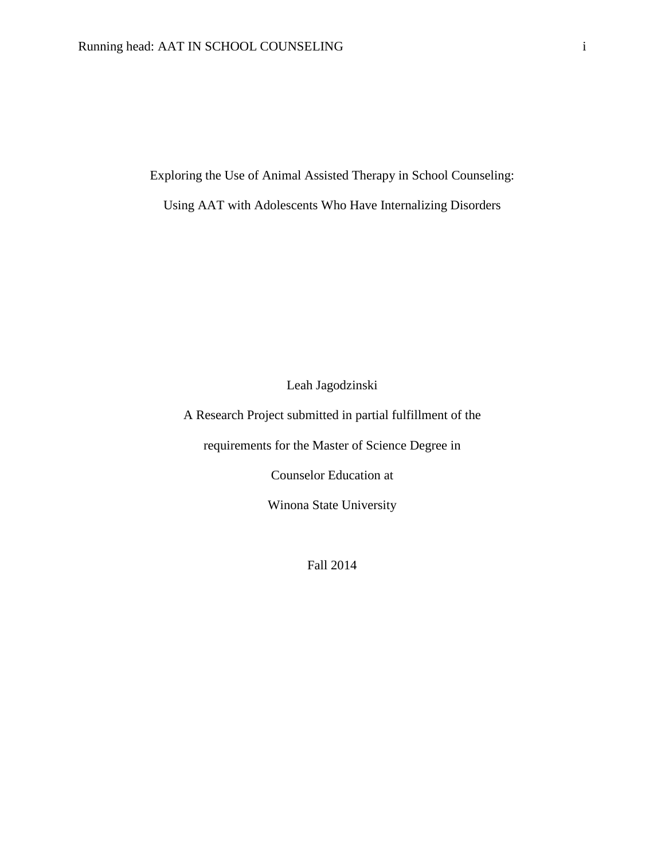Exploring the Use of Animal Assisted Therapy in School Counseling:

Using AAT with Adolescents Who Have Internalizing Disorders

Leah Jagodzinski

A Research Project submitted in partial fulfillment of the

requirements for the Master of Science Degree in

Counselor Education at

Winona State University

Fall 2014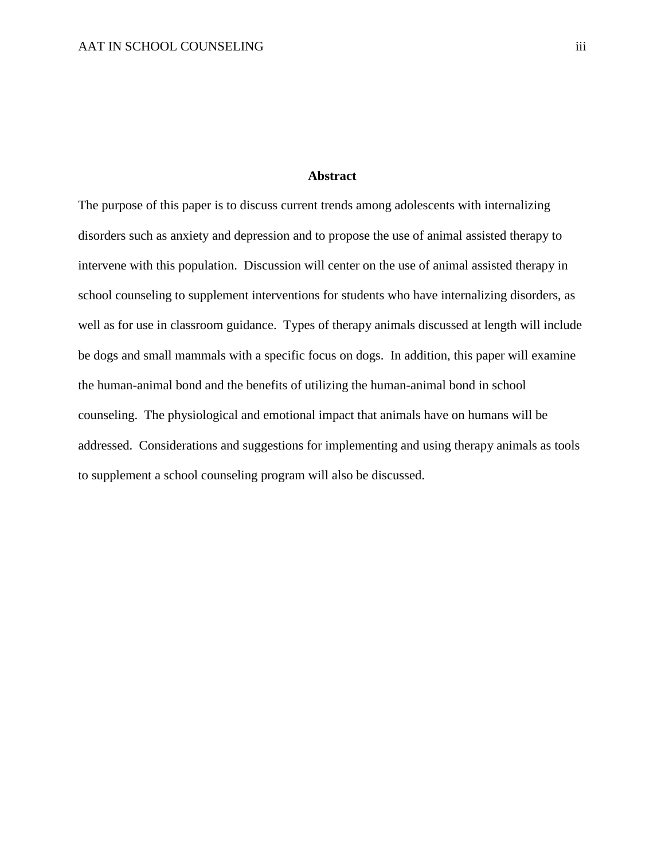# **Abstract**

The purpose of this paper is to discuss current trends among adolescents with internalizing disorders such as anxiety and depression and to propose the use of animal assisted therapy to intervene with this population. Discussion will center on the use of animal assisted therapy in school counseling to supplement interventions for students who have internalizing disorders, as well as for use in classroom guidance. Types of therapy animals discussed at length will include be dogs and small mammals with a specific focus on dogs. In addition, this paper will examine the human-animal bond and the benefits of utilizing the human-animal bond in school counseling. The physiological and emotional impact that animals have on humans will be addressed. Considerations and suggestions for implementing and using therapy animals as tools to supplement a school counseling program will also be discussed.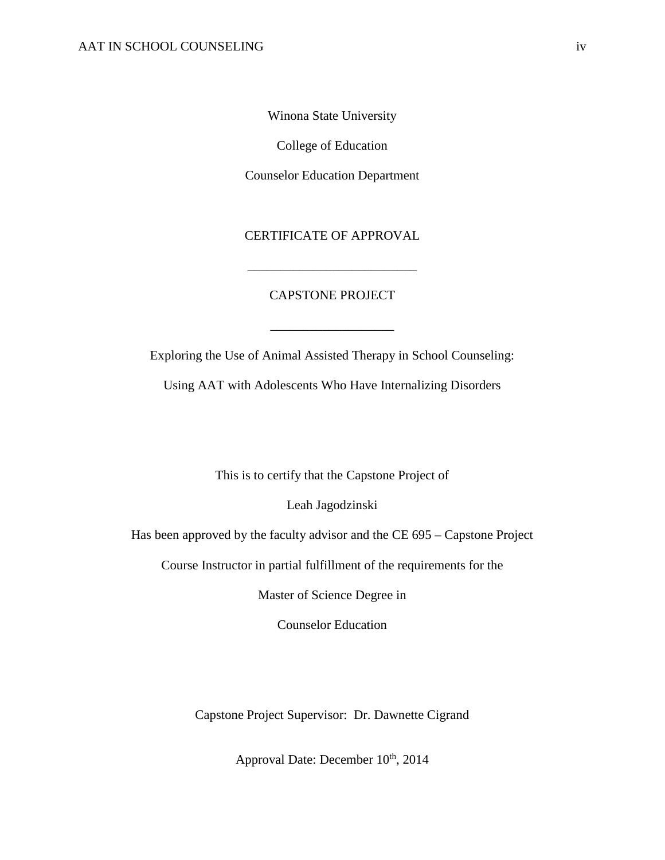Winona State University

College of Education

Counselor Education Department

CERTIFICATE OF APPROVAL

\_\_\_\_\_\_\_\_\_\_\_\_\_\_\_\_\_\_\_\_\_\_\_\_\_\_

# CAPSTONE PROJECT

\_\_\_\_\_\_\_\_\_\_\_\_\_\_\_\_\_\_\_

Exploring the Use of Animal Assisted Therapy in School Counseling:

Using AAT with Adolescents Who Have Internalizing Disorders

This is to certify that the Capstone Project of

Leah Jagodzinski

Has been approved by the faculty advisor and the CE 695 – Capstone Project

Course Instructor in partial fulfillment of the requirements for the

Master of Science Degree in

Counselor Education

Capstone Project Supervisor: Dr. Dawnette Cigrand

Approval Date: December  $10^{th}$ , 2014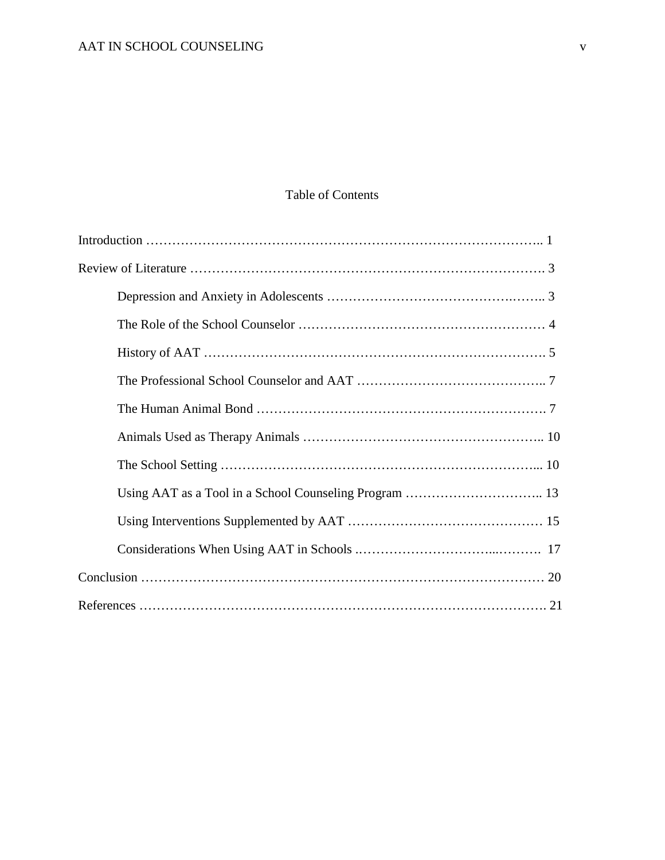# Table of Contents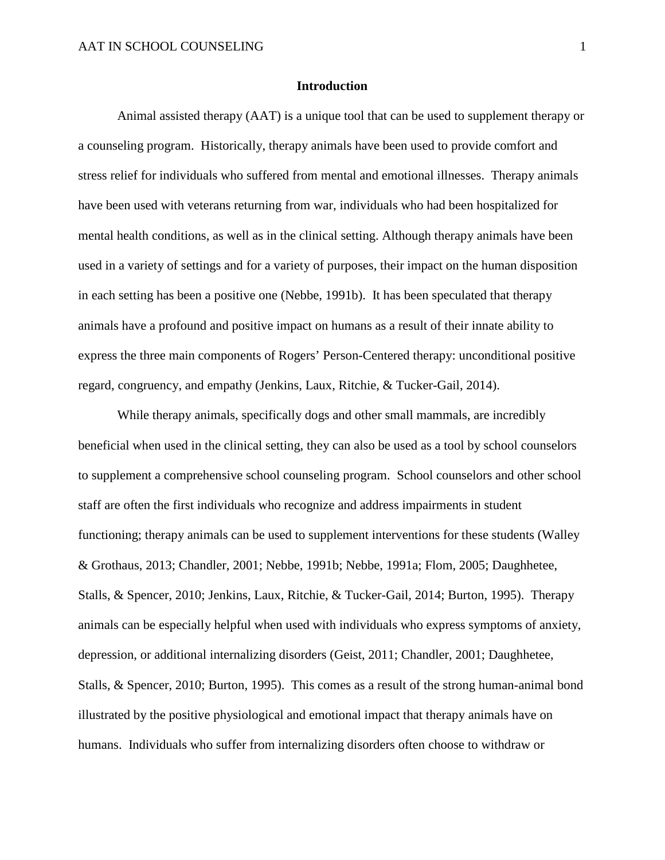#### **Introduction**

Animal assisted therapy (AAT) is a unique tool that can be used to supplement therapy or a counseling program. Historically, therapy animals have been used to provide comfort and stress relief for individuals who suffered from mental and emotional illnesses. Therapy animals have been used with veterans returning from war, individuals who had been hospitalized for mental health conditions, as well as in the clinical setting. Although therapy animals have been used in a variety of settings and for a variety of purposes, their impact on the human disposition in each setting has been a positive one (Nebbe, 1991b). It has been speculated that therapy animals have a profound and positive impact on humans as a result of their innate ability to express the three main components of Rogers' Person-Centered therapy: unconditional positive regard, congruency, and empathy (Jenkins, Laux, Ritchie, & Tucker-Gail, 2014).

While therapy animals, specifically dogs and other small mammals, are incredibly beneficial when used in the clinical setting, they can also be used as a tool by school counselors to supplement a comprehensive school counseling program. School counselors and other school staff are often the first individuals who recognize and address impairments in student functioning; therapy animals can be used to supplement interventions for these students (Walley & Grothaus, 2013; Chandler, 2001; Nebbe, 1991b; Nebbe, 1991a; Flom, 2005; Daughhetee, Stalls, & Spencer, 2010; Jenkins, Laux, Ritchie, & Tucker-Gail, 2014; Burton, 1995). Therapy animals can be especially helpful when used with individuals who express symptoms of anxiety, depression, or additional internalizing disorders (Geist, 2011; Chandler, 2001; Daughhetee, Stalls, & Spencer, 2010; Burton, 1995). This comes as a result of the strong human-animal bond illustrated by the positive physiological and emotional impact that therapy animals have on humans. Individuals who suffer from internalizing disorders often choose to withdraw or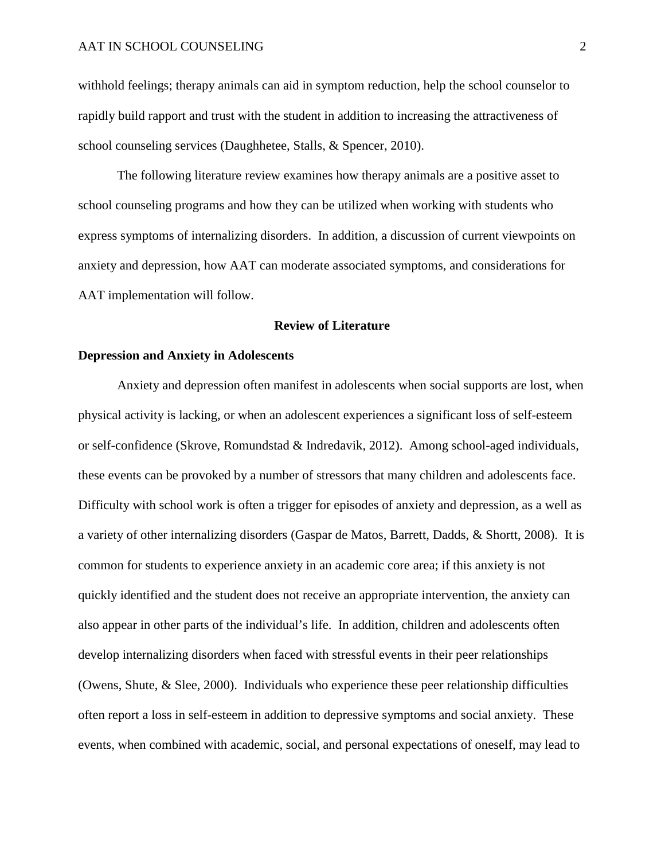withhold feelings; therapy animals can aid in symptom reduction, help the school counselor to rapidly build rapport and trust with the student in addition to increasing the attractiveness of school counseling services (Daughhetee, Stalls, & Spencer, 2010).

The following literature review examines how therapy animals are a positive asset to school counseling programs and how they can be utilized when working with students who express symptoms of internalizing disorders. In addition, a discussion of current viewpoints on anxiety and depression, how AAT can moderate associated symptoms, and considerations for AAT implementation will follow.

#### **Review of Literature**

# **Depression and Anxiety in Adolescents**

Anxiety and depression often manifest in adolescents when social supports are lost, when physical activity is lacking, or when an adolescent experiences a significant loss of self-esteem or self-confidence (Skrove, Romundstad & Indredavik, 2012). Among school-aged individuals, these events can be provoked by a number of stressors that many children and adolescents face. Difficulty with school work is often a trigger for episodes of anxiety and depression, as a well as a variety of other internalizing disorders (Gaspar de Matos, Barrett, Dadds, & Shortt, 2008). It is common for students to experience anxiety in an academic core area; if this anxiety is not quickly identified and the student does not receive an appropriate intervention, the anxiety can also appear in other parts of the individual's life. In addition, children and adolescents often develop internalizing disorders when faced with stressful events in their peer relationships (Owens, Shute, & Slee, 2000). Individuals who experience these peer relationship difficulties often report a loss in self-esteem in addition to depressive symptoms and social anxiety. These events, when combined with academic, social, and personal expectations of oneself, may lead to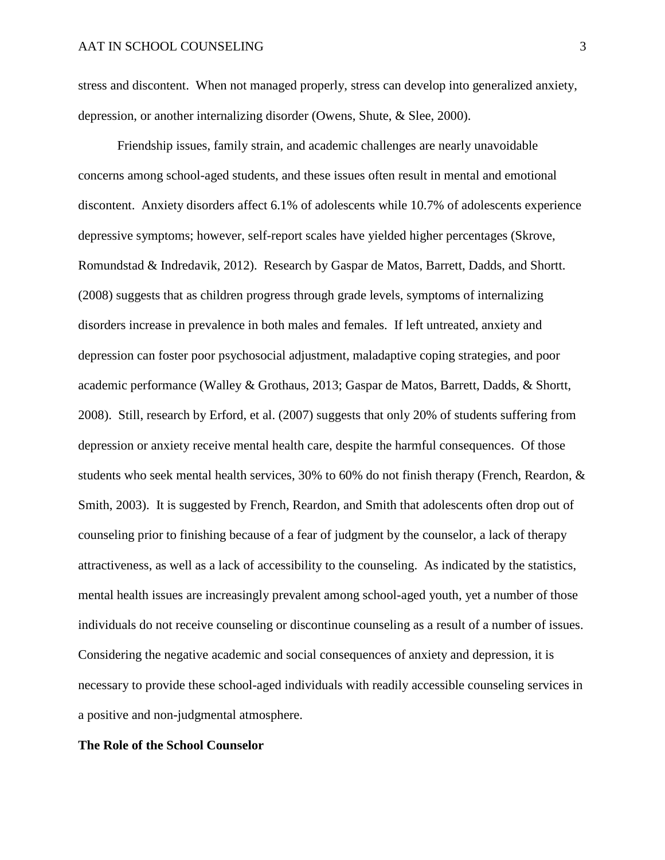stress and discontent. When not managed properly, stress can develop into generalized anxiety, depression, or another internalizing disorder (Owens, Shute, & Slee, 2000).

Friendship issues, family strain, and academic challenges are nearly unavoidable concerns among school-aged students, and these issues often result in mental and emotional discontent. Anxiety disorders affect 6.1% of adolescents while 10.7% of adolescents experience depressive symptoms; however, self-report scales have yielded higher percentages (Skrove, Romundstad & Indredavik, 2012). Research by Gaspar de Matos, Barrett, Dadds, and Shortt. (2008) suggests that as children progress through grade levels, symptoms of internalizing disorders increase in prevalence in both males and females. If left untreated, anxiety and depression can foster poor psychosocial adjustment, maladaptive coping strategies, and poor academic performance (Walley & Grothaus, 2013; Gaspar de Matos, Barrett, Dadds, & Shortt, 2008). Still, research by Erford, et al. (2007) suggests that only 20% of students suffering from depression or anxiety receive mental health care, despite the harmful consequences. Of those students who seek mental health services, 30% to 60% do not finish therapy (French, Reardon, & Smith, 2003). It is suggested by French, Reardon, and Smith that adolescents often drop out of counseling prior to finishing because of a fear of judgment by the counselor, a lack of therapy attractiveness, as well as a lack of accessibility to the counseling. As indicated by the statistics, mental health issues are increasingly prevalent among school-aged youth, yet a number of those individuals do not receive counseling or discontinue counseling as a result of a number of issues. Considering the negative academic and social consequences of anxiety and depression, it is necessary to provide these school-aged individuals with readily accessible counseling services in a positive and non-judgmental atmosphere.

#### **The Role of the School Counselor**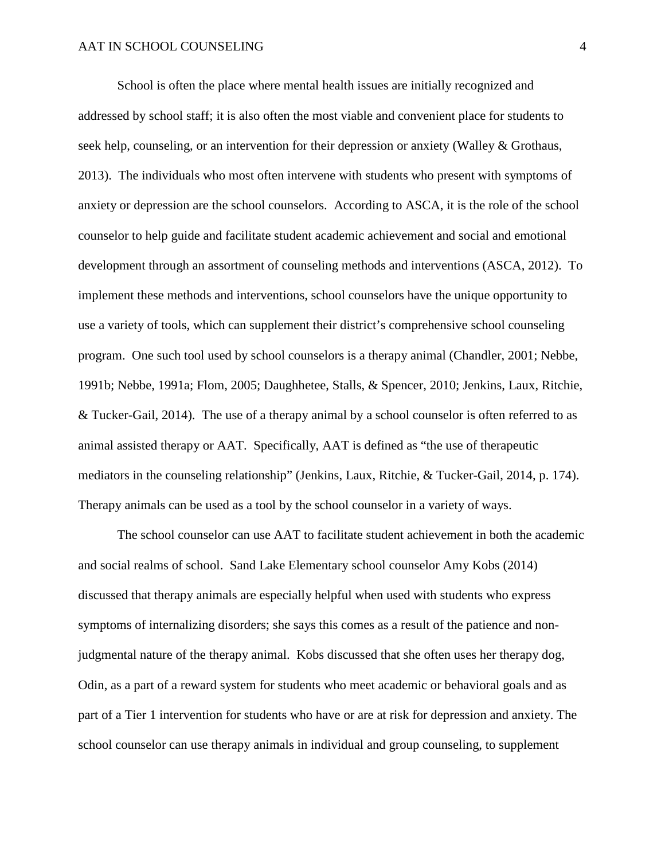School is often the place where mental health issues are initially recognized and addressed by school staff; it is also often the most viable and convenient place for students to seek help, counseling, or an intervention for their depression or anxiety (Walley & Grothaus, 2013). The individuals who most often intervene with students who present with symptoms of anxiety or depression are the school counselors. According to ASCA, it is the role of the school counselor to help guide and facilitate student academic achievement and social and emotional development through an assortment of counseling methods and interventions (ASCA, 2012). To implement these methods and interventions, school counselors have the unique opportunity to use a variety of tools, which can supplement their district's comprehensive school counseling program. One such tool used by school counselors is a therapy animal (Chandler, 2001; Nebbe, 1991b; Nebbe, 1991a; Flom, 2005; Daughhetee, Stalls, & Spencer, 2010; Jenkins, Laux, Ritchie, & Tucker-Gail, 2014). The use of a therapy animal by a school counselor is often referred to as animal assisted therapy or AAT. Specifically, AAT is defined as "the use of therapeutic mediators in the counseling relationship" (Jenkins, Laux, Ritchie, & Tucker-Gail, 2014, p. 174). Therapy animals can be used as a tool by the school counselor in a variety of ways.

The school counselor can use AAT to facilitate student achievement in both the academic and social realms of school. Sand Lake Elementary school counselor Amy Kobs (2014) discussed that therapy animals are especially helpful when used with students who express symptoms of internalizing disorders; she says this comes as a result of the patience and nonjudgmental nature of the therapy animal. Kobs discussed that she often uses her therapy dog, Odin, as a part of a reward system for students who meet academic or behavioral goals and as part of a Tier 1 intervention for students who have or are at risk for depression and anxiety. The school counselor can use therapy animals in individual and group counseling, to supplement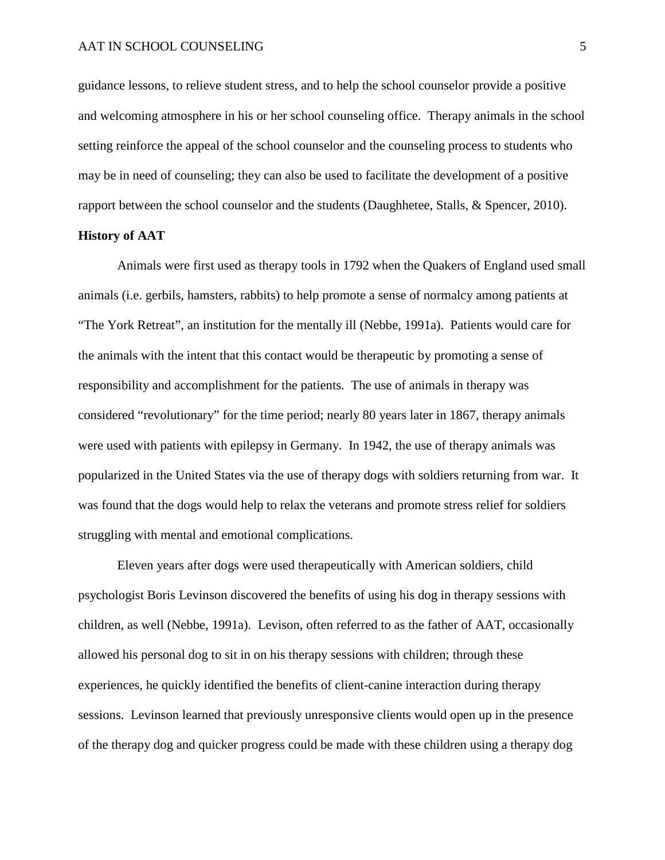guidance lessons, to relieve student stress, and to help the school counselor provide a positive and welcoming atmosphere in his or her school counseling office. Therapy animals in the school setting reinforce the appeal of the school counselor and the counseling process to students who may be in need of counseling; they can also be used to facilitate the development of a positive rapport between the school counselor and the students (Daughhetee, Stalls, & Spencer, 2010).

# **History of AAT**

Animals were first used as therapy tools in 1792 when the Quakers of England used small animals (i.e. gerbils, hamsters, rabbits) to help promote a sense of normalcy among patients at "The York Retreat", an institution for the mentally ill (Nebbe, 1991a). Patients would care for the animals with the intent that this contact would be therapeutic by promoting a sense of responsibility and accomplishment for the patients. The use of animals in therapy was considered "revolutionary" for the time period; nearly 80 years later in 1867, therapy animals were used with patients with epilepsy in Germany. In 1942, the use of therapy animals was popularized in the United States via the use of therapy dogs with soldiers returning from war. It was found that the dogs would help to relax the veterans and promote stress relief for soldiers struggling with mental and emotional complications.

Eleven years after dogs were used therapeutically with American soldiers, child psychologist Boris Levinson discovered the benefits of using his dog in therapy sessions with children, as well (Nebbe, 1991a). Levison, often referred to as the father of AAT, occasionally allowed his personal dog to sit in on his therapy sessions with children; through these experiences, he quickly identified the benefits of client-canine interaction during therapy sessions. Levinson learned that previously unresponsive clients would open up in the presence of the therapy dog and quicker progress could be made with these children using a therapy dog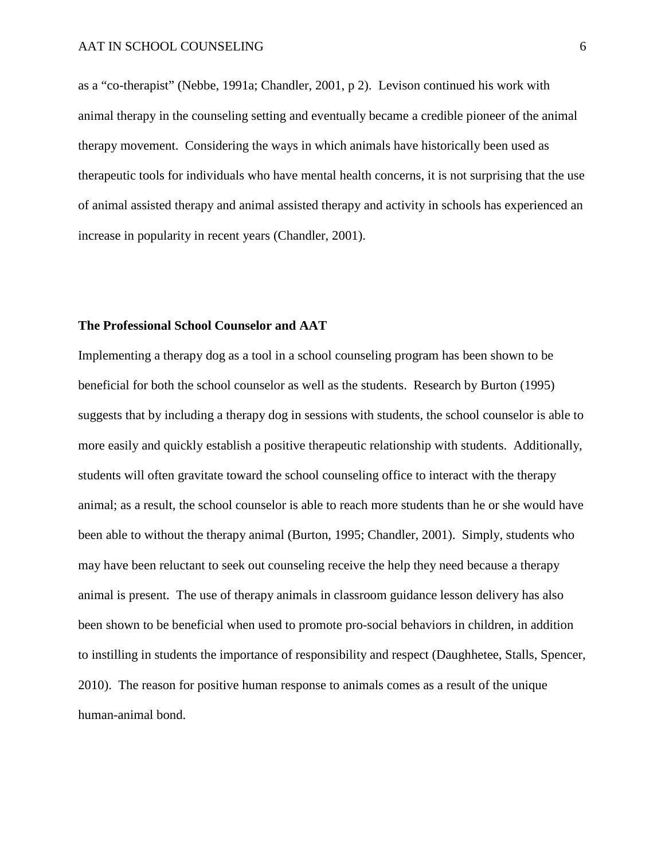as a "co-therapist" (Nebbe, 1991a; Chandler, 2001, p 2). Levison continued his work with animal therapy in the counseling setting and eventually became a credible pioneer of the animal therapy movement. Considering the ways in which animals have historically been used as therapeutic tools for individuals who have mental health concerns, it is not surprising that the use of animal assisted therapy and animal assisted therapy and activity in schools has experienced an increase in popularity in recent years (Chandler, 2001).

# **The Professional School Counselor and AAT**

Implementing a therapy dog as a tool in a school counseling program has been shown to be beneficial for both the school counselor as well as the students. Research by Burton (1995) suggests that by including a therapy dog in sessions with students, the school counselor is able to more easily and quickly establish a positive therapeutic relationship with students. Additionally, students will often gravitate toward the school counseling office to interact with the therapy animal; as a result, the school counselor is able to reach more students than he or she would have been able to without the therapy animal (Burton, 1995; Chandler, 2001). Simply, students who may have been reluctant to seek out counseling receive the help they need because a therapy animal is present. The use of therapy animals in classroom guidance lesson delivery has also been shown to be beneficial when used to promote pro-social behaviors in children, in addition to instilling in students the importance of responsibility and respect (Daughhetee, Stalls, Spencer, 2010). The reason for positive human response to animals comes as a result of the unique human-animal bond.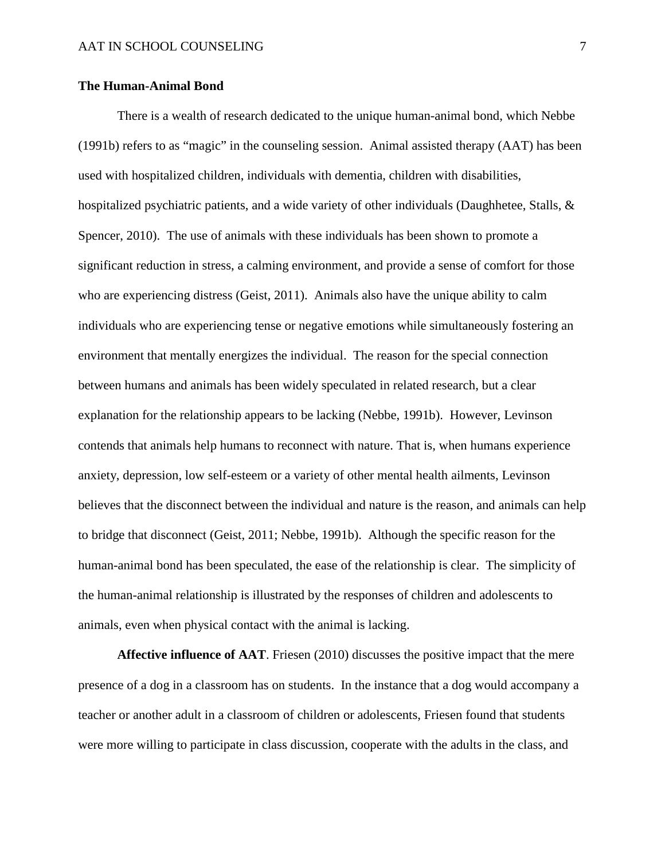# **The Human-Animal Bond**

There is a wealth of research dedicated to the unique human-animal bond, which Nebbe (1991b) refers to as "magic" in the counseling session. Animal assisted therapy (AAT) has been used with hospitalized children, individuals with dementia, children with disabilities, hospitalized psychiatric patients, and a wide variety of other individuals (Daughhetee, Stalls, & Spencer, 2010). The use of animals with these individuals has been shown to promote a significant reduction in stress, a calming environment, and provide a sense of comfort for those who are experiencing distress (Geist, 2011). Animals also have the unique ability to calm individuals who are experiencing tense or negative emotions while simultaneously fostering an environment that mentally energizes the individual. The reason for the special connection between humans and animals has been widely speculated in related research, but a clear explanation for the relationship appears to be lacking (Nebbe, 1991b). However, Levinson contends that animals help humans to reconnect with nature. That is, when humans experience anxiety, depression, low self-esteem or a variety of other mental health ailments, Levinson believes that the disconnect between the individual and nature is the reason, and animals can help to bridge that disconnect (Geist, 2011; Nebbe, 1991b). Although the specific reason for the human-animal bond has been speculated, the ease of the relationship is clear. The simplicity of the human-animal relationship is illustrated by the responses of children and adolescents to animals, even when physical contact with the animal is lacking.

**Affective influence of AAT**. Friesen (2010) discusses the positive impact that the mere presence of a dog in a classroom has on students. In the instance that a dog would accompany a teacher or another adult in a classroom of children or adolescents, Friesen found that students were more willing to participate in class discussion, cooperate with the adults in the class, and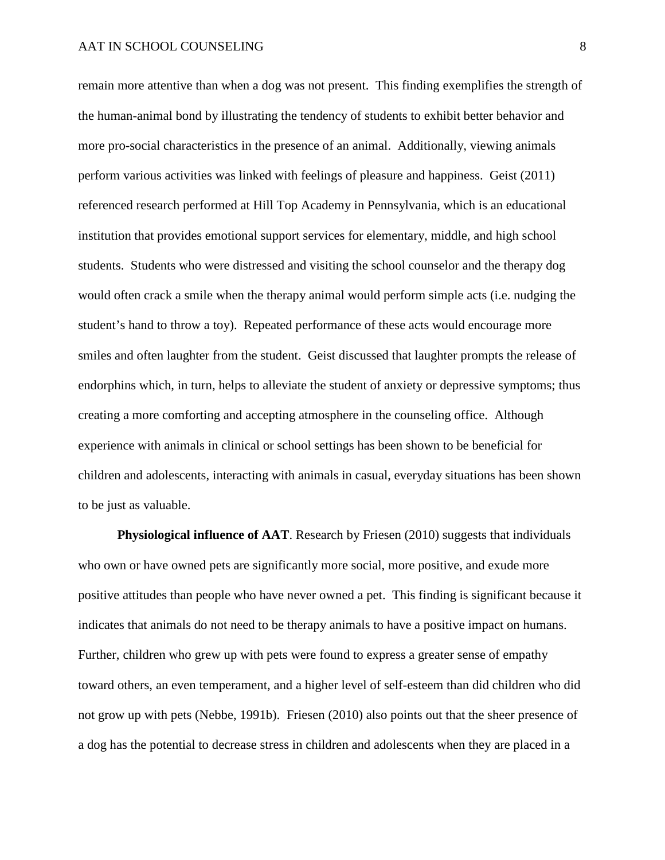remain more attentive than when a dog was not present. This finding exemplifies the strength of the human-animal bond by illustrating the tendency of students to exhibit better behavior and more pro-social characteristics in the presence of an animal. Additionally, viewing animals perform various activities was linked with feelings of pleasure and happiness. Geist (2011) referenced research performed at Hill Top Academy in Pennsylvania, which is an educational institution that provides emotional support services for elementary, middle, and high school students. Students who were distressed and visiting the school counselor and the therapy dog would often crack a smile when the therapy animal would perform simple acts (i.e. nudging the student's hand to throw a toy). Repeated performance of these acts would encourage more smiles and often laughter from the student. Geist discussed that laughter prompts the release of endorphins which, in turn, helps to alleviate the student of anxiety or depressive symptoms; thus creating a more comforting and accepting atmosphere in the counseling office. Although experience with animals in clinical or school settings has been shown to be beneficial for children and adolescents, interacting with animals in casual, everyday situations has been shown to be just as valuable.

**Physiological influence of AAT**. Research by Friesen (2010) suggests that individuals who own or have owned pets are significantly more social, more positive, and exude more positive attitudes than people who have never owned a pet. This finding is significant because it indicates that animals do not need to be therapy animals to have a positive impact on humans. Further, children who grew up with pets were found to express a greater sense of empathy toward others, an even temperament, and a higher level of self-esteem than did children who did not grow up with pets (Nebbe, 1991b). Friesen (2010) also points out that the sheer presence of a dog has the potential to decrease stress in children and adolescents when they are placed in a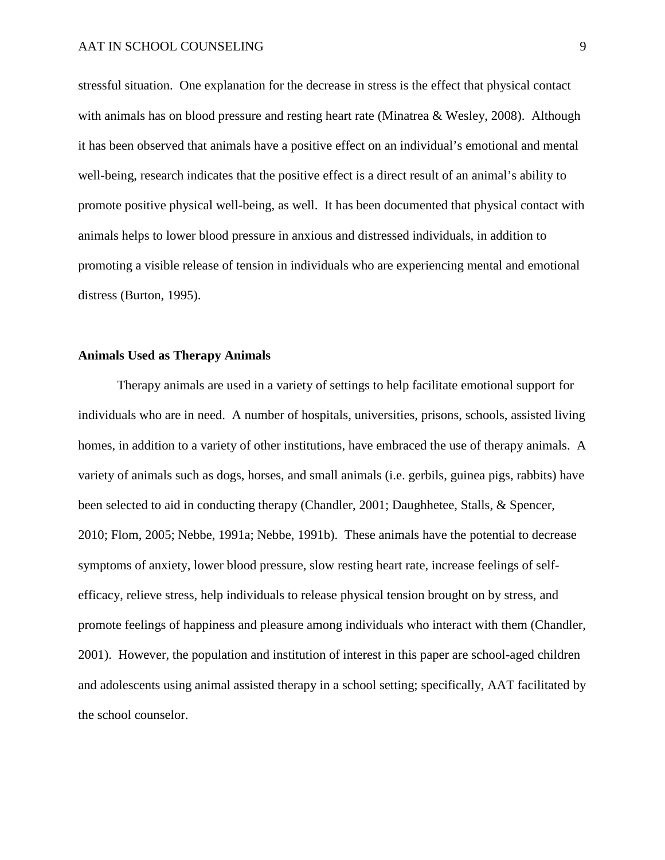stressful situation. One explanation for the decrease in stress is the effect that physical contact with animals has on blood pressure and resting heart rate (Minatrea & Wesley, 2008). Although it has been observed that animals have a positive effect on an individual's emotional and mental well-being, research indicates that the positive effect is a direct result of an animal's ability to promote positive physical well-being, as well. It has been documented that physical contact with animals helps to lower blood pressure in anxious and distressed individuals, in addition to promoting a visible release of tension in individuals who are experiencing mental and emotional distress (Burton, 1995).

# **Animals Used as Therapy Animals**

Therapy animals are used in a variety of settings to help facilitate emotional support for individuals who are in need. A number of hospitals, universities, prisons, schools, assisted living homes, in addition to a variety of other institutions, have embraced the use of therapy animals. A variety of animals such as dogs, horses, and small animals (i.e. gerbils, guinea pigs, rabbits) have been selected to aid in conducting therapy (Chandler, 2001; Daughhetee, Stalls, & Spencer, 2010; Flom, 2005; Nebbe, 1991a; Nebbe, 1991b). These animals have the potential to decrease symptoms of anxiety, lower blood pressure, slow resting heart rate, increase feelings of selfefficacy, relieve stress, help individuals to release physical tension brought on by stress, and promote feelings of happiness and pleasure among individuals who interact with them (Chandler, 2001). However, the population and institution of interest in this paper are school-aged children and adolescents using animal assisted therapy in a school setting; specifically, AAT facilitated by the school counselor.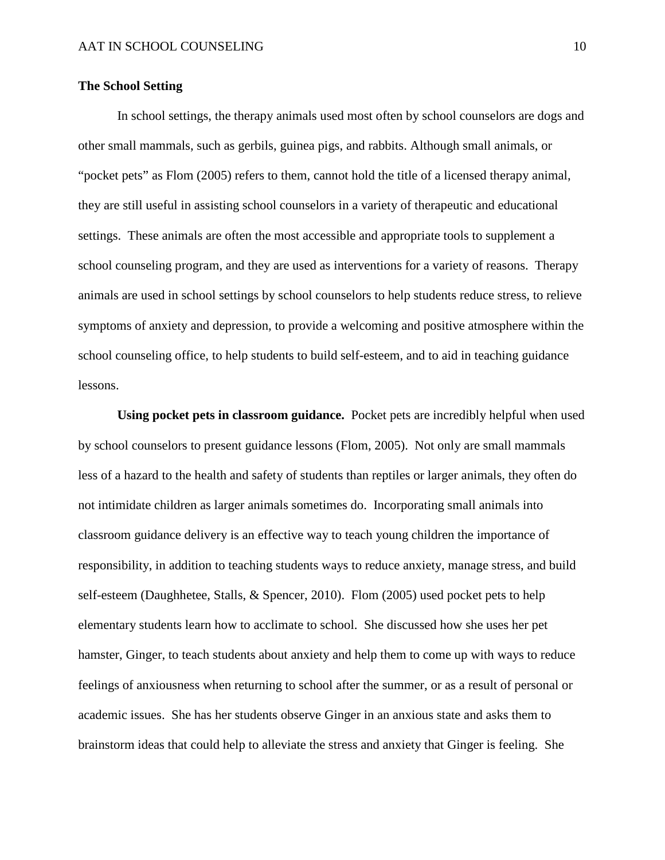# **The School Setting**

In school settings, the therapy animals used most often by school counselors are dogs and other small mammals, such as gerbils, guinea pigs, and rabbits. Although small animals, or "pocket pets" as Flom (2005) refers to them, cannot hold the title of a licensed therapy animal, they are still useful in assisting school counselors in a variety of therapeutic and educational settings. These animals are often the most accessible and appropriate tools to supplement a school counseling program, and they are used as interventions for a variety of reasons. Therapy animals are used in school settings by school counselors to help students reduce stress, to relieve symptoms of anxiety and depression, to provide a welcoming and positive atmosphere within the school counseling office, to help students to build self-esteem, and to aid in teaching guidance lessons.

**Using pocket pets in classroom guidance.** Pocket pets are incredibly helpful when used by school counselors to present guidance lessons (Flom, 2005). Not only are small mammals less of a hazard to the health and safety of students than reptiles or larger animals, they often do not intimidate children as larger animals sometimes do. Incorporating small animals into classroom guidance delivery is an effective way to teach young children the importance of responsibility, in addition to teaching students ways to reduce anxiety, manage stress, and build self-esteem (Daughhetee, Stalls, & Spencer, 2010). Flom (2005) used pocket pets to help elementary students learn how to acclimate to school. She discussed how she uses her pet hamster, Ginger, to teach students about anxiety and help them to come up with ways to reduce feelings of anxiousness when returning to school after the summer, or as a result of personal or academic issues. She has her students observe Ginger in an anxious state and asks them to brainstorm ideas that could help to alleviate the stress and anxiety that Ginger is feeling. She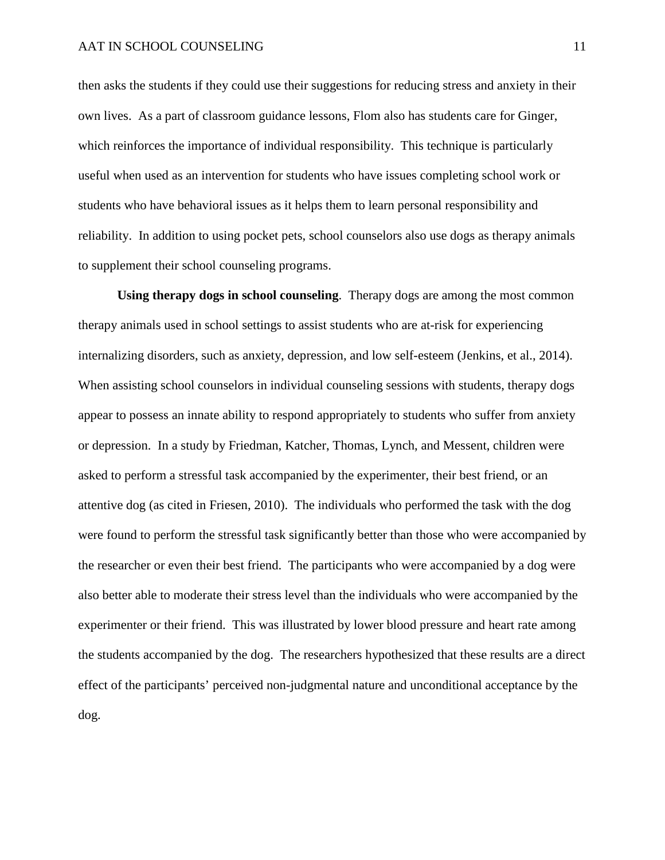then asks the students if they could use their suggestions for reducing stress and anxiety in their own lives. As a part of classroom guidance lessons, Flom also has students care for Ginger, which reinforces the importance of individual responsibility. This technique is particularly useful when used as an intervention for students who have issues completing school work or students who have behavioral issues as it helps them to learn personal responsibility and reliability. In addition to using pocket pets, school counselors also use dogs as therapy animals to supplement their school counseling programs.

**Using therapy dogs in school counseling**. Therapy dogs are among the most common therapy animals used in school settings to assist students who are at-risk for experiencing internalizing disorders, such as anxiety, depression, and low self-esteem (Jenkins, et al., 2014). When assisting school counselors in individual counseling sessions with students, therapy dogs appear to possess an innate ability to respond appropriately to students who suffer from anxiety or depression. In a study by Friedman, Katcher, Thomas, Lynch, and Messent, children were asked to perform a stressful task accompanied by the experimenter, their best friend, or an attentive dog (as cited in Friesen, 2010). The individuals who performed the task with the dog were found to perform the stressful task significantly better than those who were accompanied by the researcher or even their best friend. The participants who were accompanied by a dog were also better able to moderate their stress level than the individuals who were accompanied by the experimenter or their friend. This was illustrated by lower blood pressure and heart rate among the students accompanied by the dog. The researchers hypothesized that these results are a direct effect of the participants' perceived non-judgmental nature and unconditional acceptance by the dog.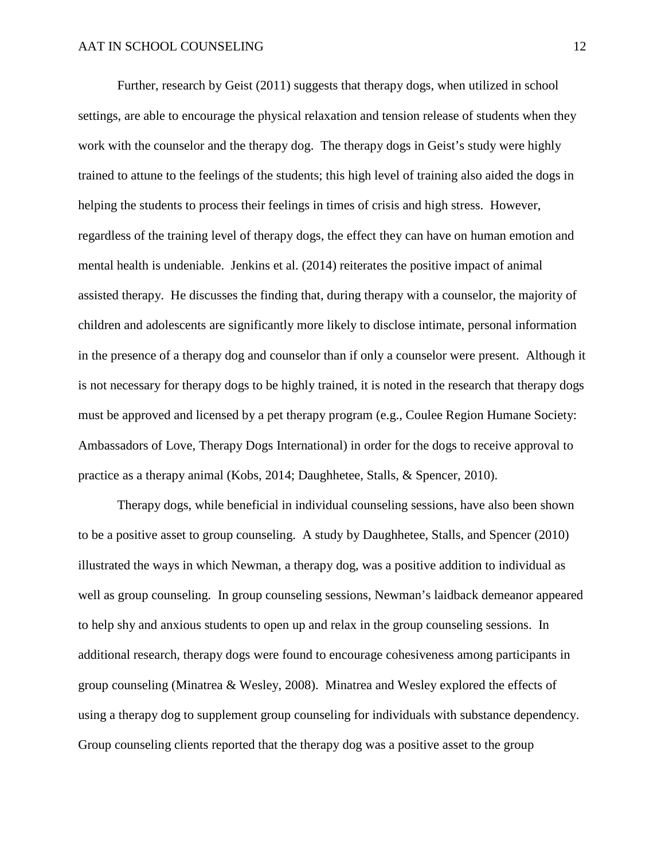Further, research by Geist (2011) suggests that therapy dogs, when utilized in school settings, are able to encourage the physical relaxation and tension release of students when they work with the counselor and the therapy dog. The therapy dogs in Geist's study were highly trained to attune to the feelings of the students; this high level of training also aided the dogs in helping the students to process their feelings in times of crisis and high stress. However, regardless of the training level of therapy dogs, the effect they can have on human emotion and mental health is undeniable. Jenkins et al. (2014) reiterates the positive impact of animal assisted therapy. He discusses the finding that, during therapy with a counselor, the majority of children and adolescents are significantly more likely to disclose intimate, personal information in the presence of a therapy dog and counselor than if only a counselor were present. Although it is not necessary for therapy dogs to be highly trained, it is noted in the research that therapy dogs must be approved and licensed by a pet therapy program (e.g., Coulee Region Humane Society: Ambassadors of Love, Therapy Dogs International) in order for the dogs to receive approval to practice as a therapy animal (Kobs, 2014; Daughhetee, Stalls, & Spencer, 2010).

Therapy dogs, while beneficial in individual counseling sessions, have also been shown to be a positive asset to group counseling. A study by Daughhetee, Stalls, and Spencer (2010) illustrated the ways in which Newman, a therapy dog, was a positive addition to individual as well as group counseling. In group counseling sessions, Newman's laidback demeanor appeared to help shy and anxious students to open up and relax in the group counseling sessions. In additional research, therapy dogs were found to encourage cohesiveness among participants in group counseling (Minatrea & Wesley, 2008). Minatrea and Wesley explored the effects of using a therapy dog to supplement group counseling for individuals with substance dependency. Group counseling clients reported that the therapy dog was a positive asset to the group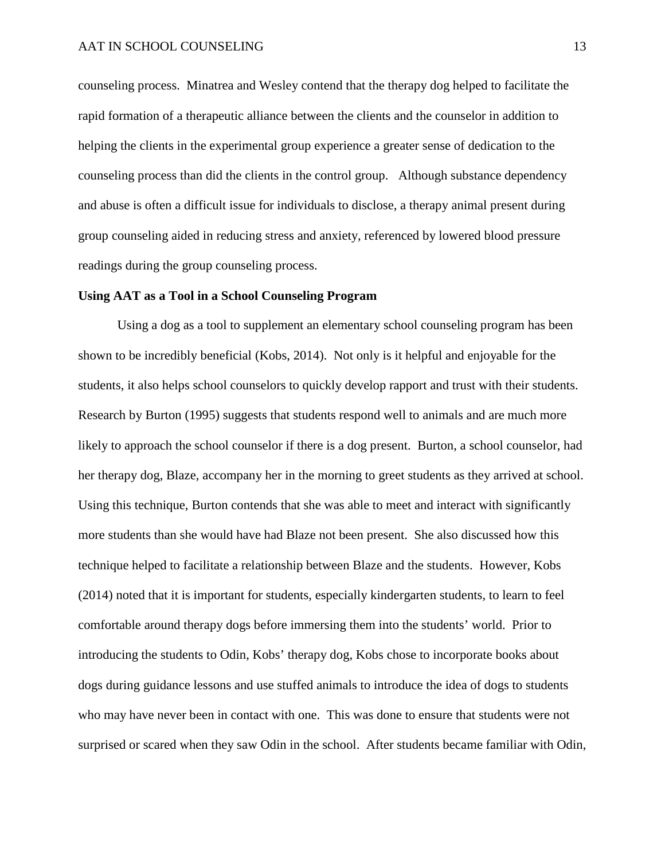counseling process. Minatrea and Wesley contend that the therapy dog helped to facilitate the rapid formation of a therapeutic alliance between the clients and the counselor in addition to helping the clients in the experimental group experience a greater sense of dedication to the counseling process than did the clients in the control group. Although substance dependency and abuse is often a difficult issue for individuals to disclose, a therapy animal present during group counseling aided in reducing stress and anxiety, referenced by lowered blood pressure readings during the group counseling process.

#### **Using AAT as a Tool in a School Counseling Program**

Using a dog as a tool to supplement an elementary school counseling program has been shown to be incredibly beneficial (Kobs, 2014). Not only is it helpful and enjoyable for the students, it also helps school counselors to quickly develop rapport and trust with their students. Research by Burton (1995) suggests that students respond well to animals and are much more likely to approach the school counselor if there is a dog present. Burton, a school counselor, had her therapy dog, Blaze, accompany her in the morning to greet students as they arrived at school. Using this technique, Burton contends that she was able to meet and interact with significantly more students than she would have had Blaze not been present. She also discussed how this technique helped to facilitate a relationship between Blaze and the students. However, Kobs (2014) noted that it is important for students, especially kindergarten students, to learn to feel comfortable around therapy dogs before immersing them into the students' world. Prior to introducing the students to Odin, Kobs' therapy dog, Kobs chose to incorporate books about dogs during guidance lessons and use stuffed animals to introduce the idea of dogs to students who may have never been in contact with one. This was done to ensure that students were not surprised or scared when they saw Odin in the school. After students became familiar with Odin,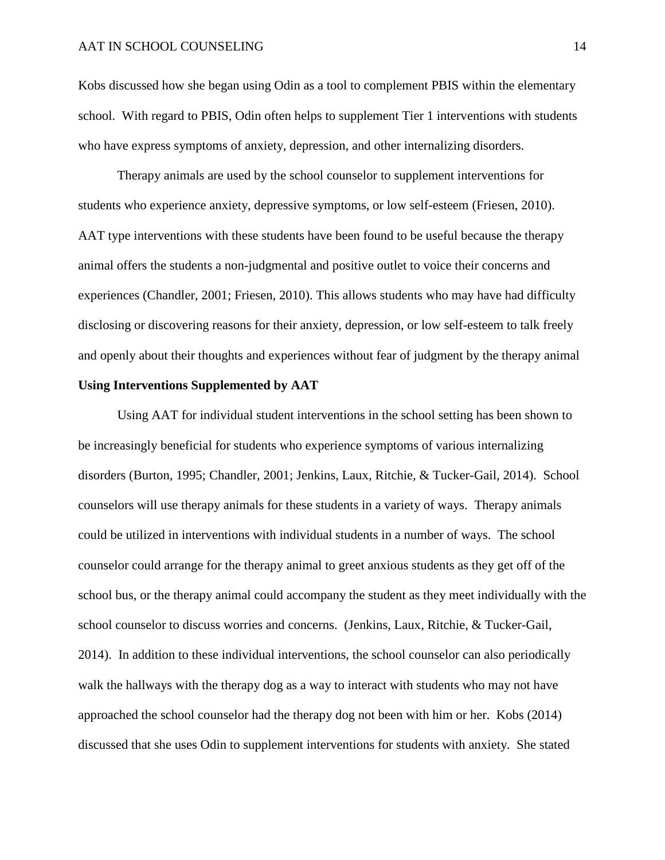Kobs discussed how she began using Odin as a tool to complement PBIS within the elementary school. With regard to PBIS, Odin often helps to supplement Tier 1 interventions with students who have express symptoms of anxiety, depression, and other internalizing disorders.

Therapy animals are used by the school counselor to supplement interventions for students who experience anxiety, depressive symptoms, or low self-esteem (Friesen, 2010). AAT type interventions with these students have been found to be useful because the therapy animal offers the students a non-judgmental and positive outlet to voice their concerns and experiences (Chandler, 2001; Friesen, 2010). This allows students who may have had difficulty disclosing or discovering reasons for their anxiety, depression, or low self-esteem to talk freely and openly about their thoughts and experiences without fear of judgment by the therapy animal

# **Using Interventions Supplemented by AAT**

Using AAT for individual student interventions in the school setting has been shown to be increasingly beneficial for students who experience symptoms of various internalizing disorders (Burton, 1995; Chandler, 2001; Jenkins, Laux, Ritchie, & Tucker-Gail, 2014). School counselors will use therapy animals for these students in a variety of ways. Therapy animals could be utilized in interventions with individual students in a number of ways. The school counselor could arrange for the therapy animal to greet anxious students as they get off of the school bus, or the therapy animal could accompany the student as they meet individually with the school counselor to discuss worries and concerns. (Jenkins, Laux, Ritchie, & Tucker-Gail, 2014). In addition to these individual interventions, the school counselor can also periodically walk the hallways with the therapy dog as a way to interact with students who may not have approached the school counselor had the therapy dog not been with him or her. Kobs (2014) discussed that she uses Odin to supplement interventions for students with anxiety. She stated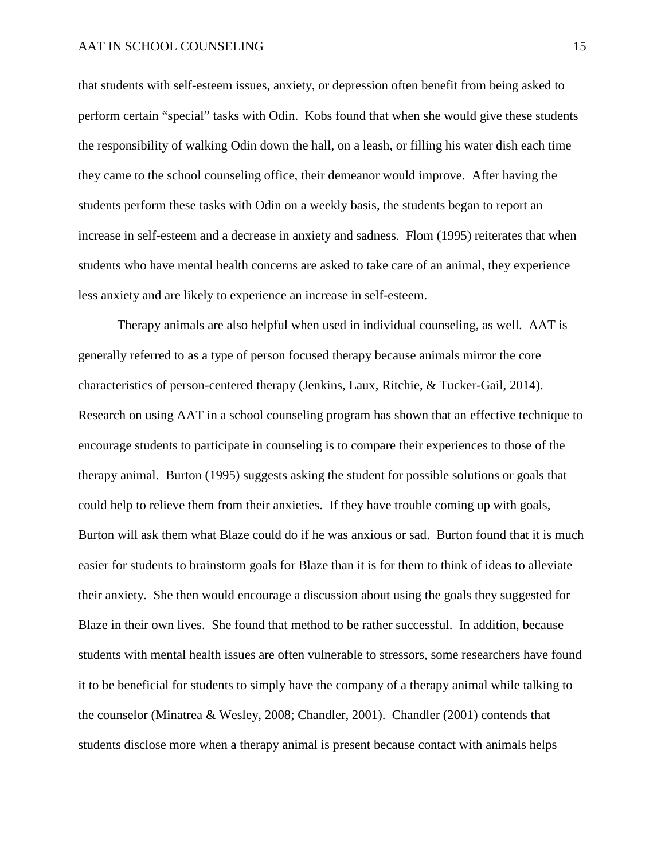that students with self-esteem issues, anxiety, or depression often benefit from being asked to perform certain "special" tasks with Odin. Kobs found that when she would give these students the responsibility of walking Odin down the hall, on a leash, or filling his water dish each time they came to the school counseling office, their demeanor would improve. After having the students perform these tasks with Odin on a weekly basis, the students began to report an increase in self-esteem and a decrease in anxiety and sadness. Flom (1995) reiterates that when students who have mental health concerns are asked to take care of an animal, they experience less anxiety and are likely to experience an increase in self-esteem.

Therapy animals are also helpful when used in individual counseling, as well. AAT is generally referred to as a type of person focused therapy because animals mirror the core characteristics of person-centered therapy (Jenkins, Laux, Ritchie, & Tucker-Gail, 2014). Research on using AAT in a school counseling program has shown that an effective technique to encourage students to participate in counseling is to compare their experiences to those of the therapy animal. Burton (1995) suggests asking the student for possible solutions or goals that could help to relieve them from their anxieties. If they have trouble coming up with goals, Burton will ask them what Blaze could do if he was anxious or sad. Burton found that it is much easier for students to brainstorm goals for Blaze than it is for them to think of ideas to alleviate their anxiety. She then would encourage a discussion about using the goals they suggested for Blaze in their own lives. She found that method to be rather successful. In addition, because students with mental health issues are often vulnerable to stressors, some researchers have found it to be beneficial for students to simply have the company of a therapy animal while talking to the counselor (Minatrea & Wesley, 2008; Chandler, 2001). Chandler (2001) contends that students disclose more when a therapy animal is present because contact with animals helps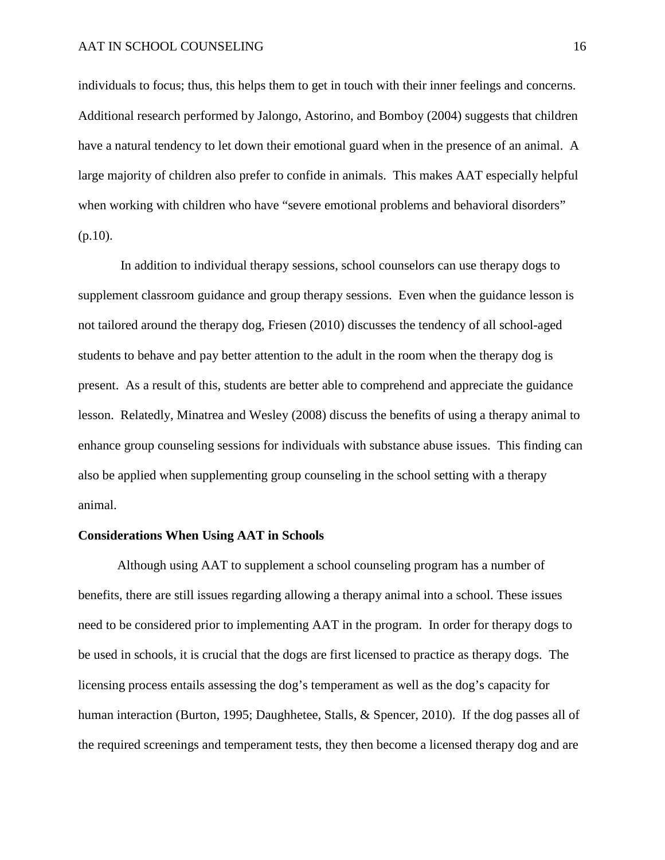individuals to focus; thus, this helps them to get in touch with their inner feelings and concerns. Additional research performed by Jalongo, Astorino, and Bomboy (2004) suggests that children have a natural tendency to let down their emotional guard when in the presence of an animal. A large majority of children also prefer to confide in animals. This makes AAT especially helpful when working with children who have "severe emotional problems and behavioral disorders"  $(p.10)$ .

In addition to individual therapy sessions, school counselors can use therapy dogs to supplement classroom guidance and group therapy sessions. Even when the guidance lesson is not tailored around the therapy dog, Friesen (2010) discusses the tendency of all school-aged students to behave and pay better attention to the adult in the room when the therapy dog is present. As a result of this, students are better able to comprehend and appreciate the guidance lesson. Relatedly, Minatrea and Wesley (2008) discuss the benefits of using a therapy animal to enhance group counseling sessions for individuals with substance abuse issues. This finding can also be applied when supplementing group counseling in the school setting with a therapy animal.

#### **Considerations When Using AAT in Schools**

Although using AAT to supplement a school counseling program has a number of benefits, there are still issues regarding allowing a therapy animal into a school. These issues need to be considered prior to implementing AAT in the program. In order for therapy dogs to be used in schools, it is crucial that the dogs are first licensed to practice as therapy dogs. The licensing process entails assessing the dog's temperament as well as the dog's capacity for human interaction (Burton, 1995; Daughhetee, Stalls, & Spencer, 2010). If the dog passes all of the required screenings and temperament tests, they then become a licensed therapy dog and are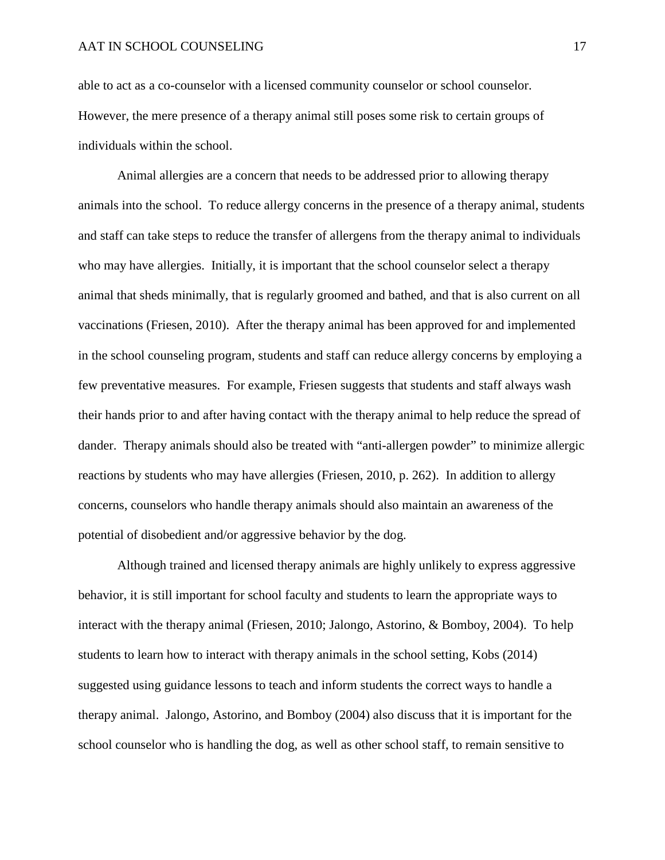able to act as a co-counselor with a licensed community counselor or school counselor. However, the mere presence of a therapy animal still poses some risk to certain groups of individuals within the school.

Animal allergies are a concern that needs to be addressed prior to allowing therapy animals into the school. To reduce allergy concerns in the presence of a therapy animal, students and staff can take steps to reduce the transfer of allergens from the therapy animal to individuals who may have allergies. Initially, it is important that the school counselor select a therapy animal that sheds minimally, that is regularly groomed and bathed, and that is also current on all vaccinations (Friesen, 2010). After the therapy animal has been approved for and implemented in the school counseling program, students and staff can reduce allergy concerns by employing a few preventative measures. For example, Friesen suggests that students and staff always wash their hands prior to and after having contact with the therapy animal to help reduce the spread of dander. Therapy animals should also be treated with "anti-allergen powder" to minimize allergic reactions by students who may have allergies (Friesen, 2010, p. 262). In addition to allergy concerns, counselors who handle therapy animals should also maintain an awareness of the potential of disobedient and/or aggressive behavior by the dog.

Although trained and licensed therapy animals are highly unlikely to express aggressive behavior, it is still important for school faculty and students to learn the appropriate ways to interact with the therapy animal (Friesen, 2010; Jalongo, Astorino, & Bomboy, 2004). To help students to learn how to interact with therapy animals in the school setting, Kobs (2014) suggested using guidance lessons to teach and inform students the correct ways to handle a therapy animal. Jalongo, Astorino, and Bomboy (2004) also discuss that it is important for the school counselor who is handling the dog, as well as other school staff, to remain sensitive to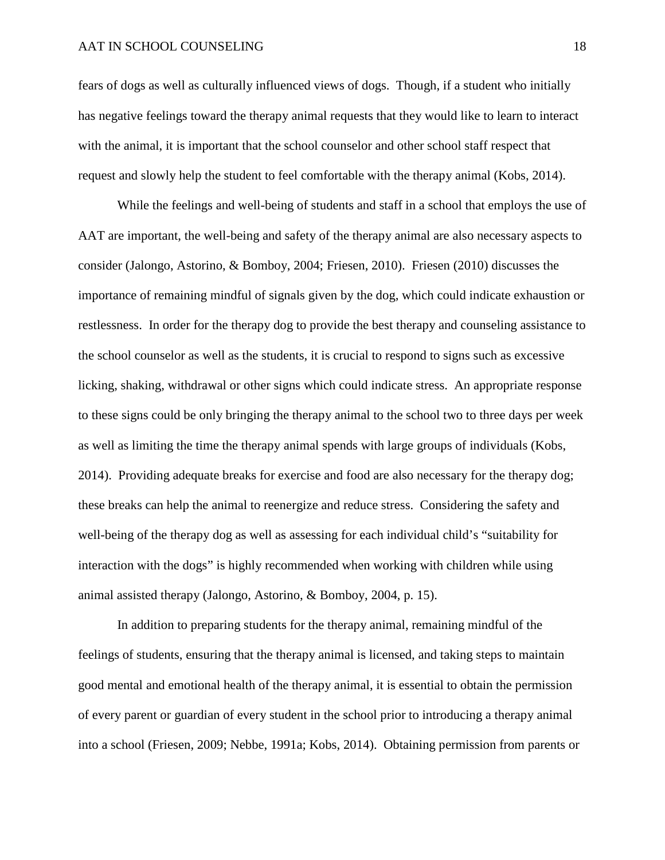#### AAT IN SCHOOL COUNSELING 18

fears of dogs as well as culturally influenced views of dogs. Though, if a student who initially has negative feelings toward the therapy animal requests that they would like to learn to interact with the animal, it is important that the school counselor and other school staff respect that request and slowly help the student to feel comfortable with the therapy animal (Kobs, 2014).

While the feelings and well-being of students and staff in a school that employs the use of AAT are important, the well-being and safety of the therapy animal are also necessary aspects to consider (Jalongo, Astorino, & Bomboy, 2004; Friesen, 2010). Friesen (2010) discusses the importance of remaining mindful of signals given by the dog, which could indicate exhaustion or restlessness. In order for the therapy dog to provide the best therapy and counseling assistance to the school counselor as well as the students, it is crucial to respond to signs such as excessive licking, shaking, withdrawal or other signs which could indicate stress. An appropriate response to these signs could be only bringing the therapy animal to the school two to three days per week as well as limiting the time the therapy animal spends with large groups of individuals (Kobs, 2014). Providing adequate breaks for exercise and food are also necessary for the therapy dog; these breaks can help the animal to reenergize and reduce stress. Considering the safety and well-being of the therapy dog as well as assessing for each individual child's "suitability for interaction with the dogs" is highly recommended when working with children while using animal assisted therapy (Jalongo, Astorino, & Bomboy, 2004, p. 15).

In addition to preparing students for the therapy animal, remaining mindful of the feelings of students, ensuring that the therapy animal is licensed, and taking steps to maintain good mental and emotional health of the therapy animal, it is essential to obtain the permission of every parent or guardian of every student in the school prior to introducing a therapy animal into a school (Friesen, 2009; Nebbe, 1991a; Kobs, 2014). Obtaining permission from parents or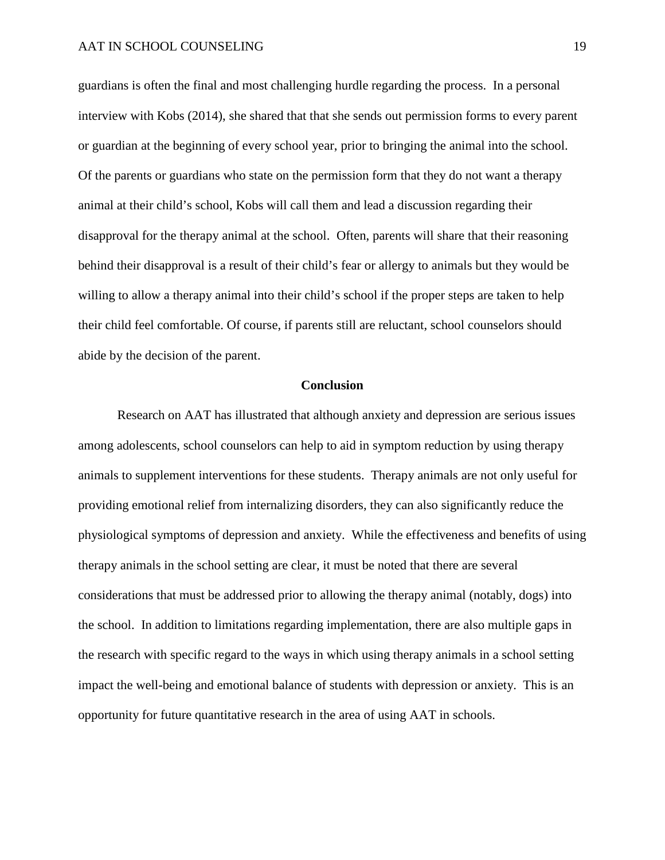guardians is often the final and most challenging hurdle regarding the process. In a personal interview with Kobs (2014), she shared that that she sends out permission forms to every parent or guardian at the beginning of every school year, prior to bringing the animal into the school. Of the parents or guardians who state on the permission form that they do not want a therapy animal at their child's school, Kobs will call them and lead a discussion regarding their disapproval for the therapy animal at the school. Often, parents will share that their reasoning behind their disapproval is a result of their child's fear or allergy to animals but they would be willing to allow a therapy animal into their child's school if the proper steps are taken to help their child feel comfortable. Of course, if parents still are reluctant, school counselors should abide by the decision of the parent.

#### **Conclusion**

Research on AAT has illustrated that although anxiety and depression are serious issues among adolescents, school counselors can help to aid in symptom reduction by using therapy animals to supplement interventions for these students. Therapy animals are not only useful for providing emotional relief from internalizing disorders, they can also significantly reduce the physiological symptoms of depression and anxiety. While the effectiveness and benefits of using therapy animals in the school setting are clear, it must be noted that there are several considerations that must be addressed prior to allowing the therapy animal (notably, dogs) into the school. In addition to limitations regarding implementation, there are also multiple gaps in the research with specific regard to the ways in which using therapy animals in a school setting impact the well-being and emotional balance of students with depression or anxiety. This is an opportunity for future quantitative research in the area of using AAT in schools.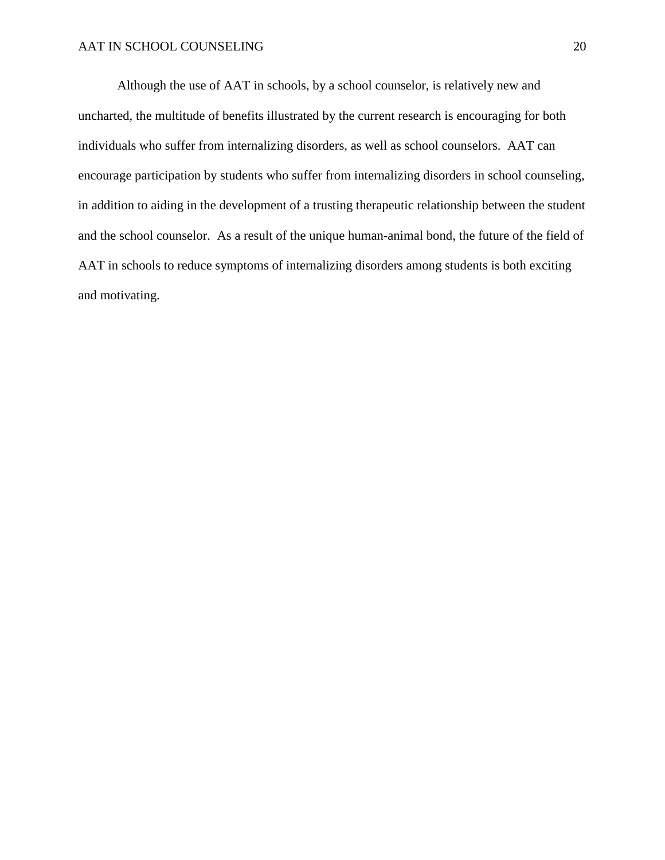Although the use of AAT in schools, by a school counselor, is relatively new and uncharted, the multitude of benefits illustrated by the current research is encouraging for both individuals who suffer from internalizing disorders, as well as school counselors. AAT can encourage participation by students who suffer from internalizing disorders in school counseling, in addition to aiding in the development of a trusting therapeutic relationship between the student and the school counselor. As a result of the unique human-animal bond, the future of the field of AAT in schools to reduce symptoms of internalizing disorders among students is both exciting and motivating.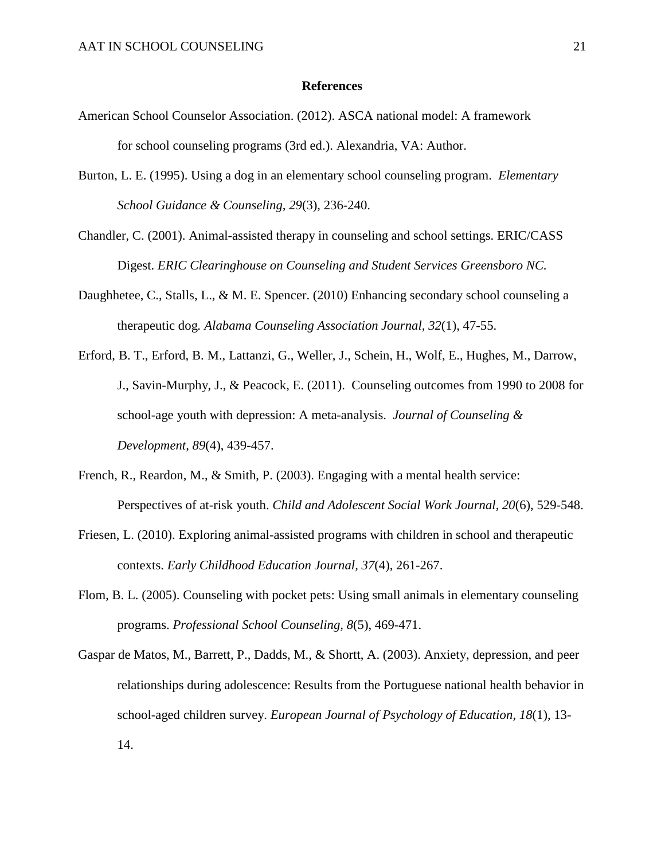#### **References**

- American School Counselor Association. (2012). ASCA national model: A framework for school counseling programs (3rd ed.). Alexandria, VA: Author.
- Burton, L. E. (1995). Using a dog in an elementary school counseling program. *Elementary School Guidance & Counseling, 29*(3), 236-240.
- Chandler, C. (2001). Animal-assisted therapy in counseling and school settings. ERIC/CASS Digest. *ERIC Clearinghouse on Counseling and Student Services Greensboro NC.*
- Daughhetee, C., Stalls, L., & M. E. Spencer. (2010) Enhancing secondary school counseling a therapeutic dog*. Alabama Counseling Association Journal, 32*(1), 47-55.
- Erford, B. T., Erford, B. M., Lattanzi, G., Weller, J., Schein, H., Wolf, E., Hughes, M., Darrow, J., Savin-Murphy, J., & Peacock, E. (2011). Counseling outcomes from 1990 to 2008 for school-age youth with depression: A meta-analysis. *Journal of Counseling & Development, 89*(4), 439-457.
- French, R., Reardon, M., & Smith, P. (2003). Engaging with a mental health service: Perspectives of at-risk youth. *Child and Adolescent Social Work Journal, 20*(6), 529-548.
- Friesen, L. (2010). Exploring animal-assisted programs with children in school and therapeutic contexts. *Early Childhood Education Journal, 37*(4), 261-267.
- Flom, B. L. (2005). Counseling with pocket pets: Using small animals in elementary counseling programs. *Professional School Counseling, 8*(5), 469-471.
- Gaspar de Matos, M., Barrett, P., Dadds, M., & Shortt, A. (2003). Anxiety, depression, and peer relationships during adolescence: Results from the Portuguese national health behavior in school-aged children survey. *European Journal of Psychology of Education, 18*(1), 13- 14.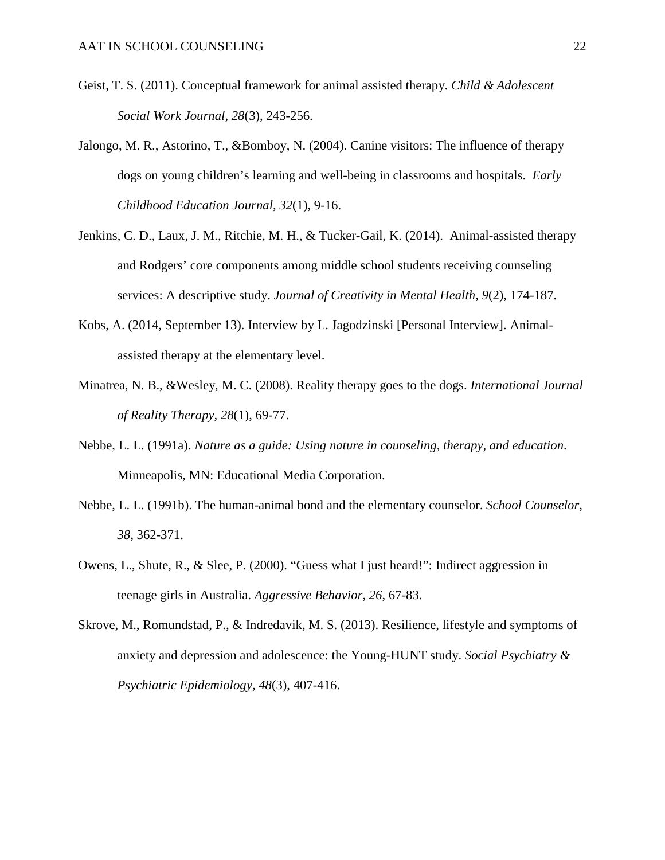- Geist, T. S. (2011). Conceptual framework for animal assisted therapy. *Child & Adolescent Social Work Journal, 28*(3), 243-256.
- Jalongo, M. R., Astorino, T., &Bomboy, N. (2004). Canine visitors: The influence of therapy dogs on young children's learning and well-being in classrooms and hospitals. *Early Childhood Education Journal, 32*(1), 9-16.
- Jenkins, C. D., Laux, J. M., Ritchie, M. H., & Tucker-Gail, K. (2014). Animal-assisted therapy and Rodgers' core components among middle school students receiving counseling services: A descriptive study. *Journal of Creativity in Mental Health, 9*(2), 174-187.
- Kobs, A. (2014, September 13). Interview by L. Jagodzinski [Personal Interview]. Animalassisted therapy at the elementary level.
- Minatrea, N. B., &Wesley, M. C. (2008). Reality therapy goes to the dogs. *International Journal of Reality Therapy, 28*(1), 69-77.
- Nebbe, L. L. (1991a). *Nature as a guide: Using nature in counseling, therapy, and education*. Minneapolis, MN: Educational Media Corporation.
- Nebbe, L. L. (1991b). The human-animal bond and the elementary counselor. *School Counselor*, *38,* 362-371.
- Owens, L., Shute, R., & Slee, P. (2000). "Guess what I just heard!": Indirect aggression in teenage girls in Australia. *Aggressive Behavior, 26*, 67-83.
- Skrove, M., Romundstad, P., & Indredavik, M. S. (2013). Resilience, lifestyle and symptoms of anxiety and depression and adolescence: the Young-HUNT study. *Social Psychiatry & Psychiatric Epidemiology, 48*(3), 407-416.